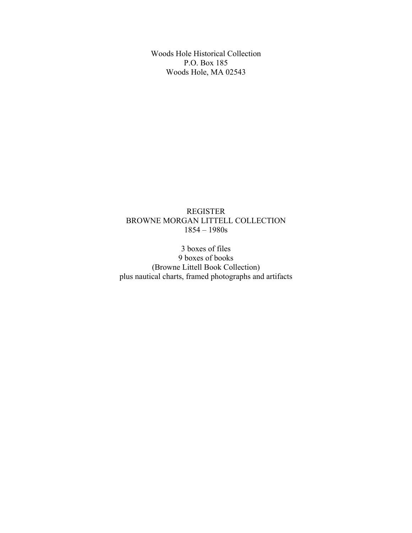Woods Hole Historical Collection P.O. Box 185 Woods Hole, MA 02543

### REGISTER BROWNE MORGAN LITTELL COLLECTION 1854 – 1980s

3 boxes of files 9 boxes of books (Browne Littell Book Collection) plus nautical charts, framed photographs and artifacts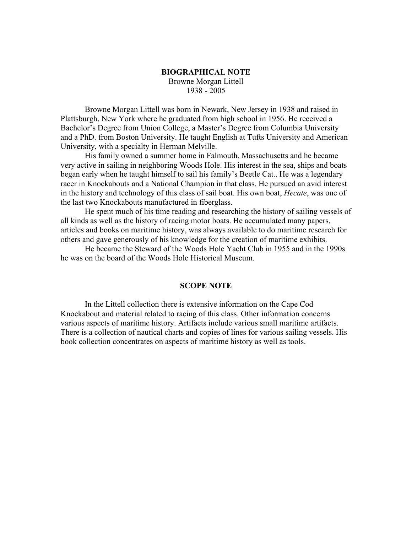#### **BIOGRAPHICAL NOTE** Browne Morgan Littell 1938 - 2005

Browne Morgan Littell was born in Newark, New Jersey in 1938 and raised in Plattsburgh, New York where he graduated from high school in 1956. He received a Bachelor's Degree from Union College, a Master's Degree from Columbia University and a PhD. from Boston University. He taught English at Tufts University and American University, with a specialty in Herman Melville.

His family owned a summer home in Falmouth, Massachusetts and he became very active in sailing in neighboring Woods Hole. His interest in the sea, ships and boats began early when he taught himself to sail his family's Beetle Cat.. He was a legendary racer in Knockabouts and a National Champion in that class. He pursued an avid interest in the history and technology of this class of sail boat. His own boat, *Hecate*, was one of the last two Knockabouts manufactured in fiberglass.

He spent much of his time reading and researching the history of sailing vessels of all kinds as well as the history of racing motor boats. He accumulated many papers, articles and books on maritime history, was always available to do maritime research for others and gave generously of his knowledge for the creation of maritime exhibits.

He became the Steward of the Woods Hole Yacht Club in 1955 and in the 1990s he was on the board of the Woods Hole Historical Museum.

#### **SCOPE NOTE**

In the Littell collection there is extensive information on the Cape Cod Knockabout and material related to racing of this class. Other information concerns various aspects of maritime history. Artifacts include various small maritime artifacts. There is a collection of nautical charts and copies of lines for various sailing vessels. His book collection concentrates on aspects of maritime history as well as tools.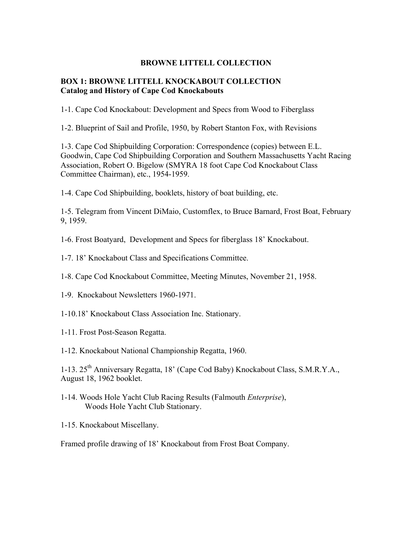#### **BROWNE LITTELL COLLECTION**

#### **BOX 1: BROWNE LITTELL KNOCKABOUT COLLECTION Catalog and History of Cape Cod Knockabouts**

1-1. Cape Cod Knockabout: Development and Specs from Wood to Fiberglass

1-2. Blueprint of Sail and Profile, 1950, by Robert Stanton Fox, with Revisions

1-3. Cape Cod Shipbuilding Corporation: Correspondence (copies) between E.L. Goodwin, Cape Cod Shipbuilding Corporation and Southern Massachusetts Yacht Racing Association, Robert O. Bigelow (SMYRA 18 foot Cape Cod Knockabout Class Committee Chairman), etc., 1954-1959.

1-4. Cape Cod Shipbuilding, booklets, history of boat building, etc.

1-5. Telegram from Vincent DiMaio, Customflex, to Bruce Barnard, Frost Boat, February 9, 1959.

1-6. Frost Boatyard, Development and Specs for fiberglass 18' Knockabout.

1-7. 18' Knockabout Class and Specifications Committee.

1-8. Cape Cod Knockabout Committee, Meeting Minutes, November 21, 1958.

- 1-9. Knockabout Newsletters 1960-1971.
- 1-10.18' Knockabout Class Association Inc. Stationary.
- 1-11. Frost Post-Season Regatta.
- 1-12. Knockabout National Championship Regatta, 1960.

1-13. 25<sup>th</sup> Anniversary Regatta, 18' (Cape Cod Baby) Knockabout Class, S.M.R.Y.A., August 18, 1962 booklet.

- 1-14. Woods Hole Yacht Club Racing Results (Falmouth *Enterprise*), Woods Hole Yacht Club Stationary.
- 1-15. Knockabout Miscellany.

Framed profile drawing of 18' Knockabout from Frost Boat Company.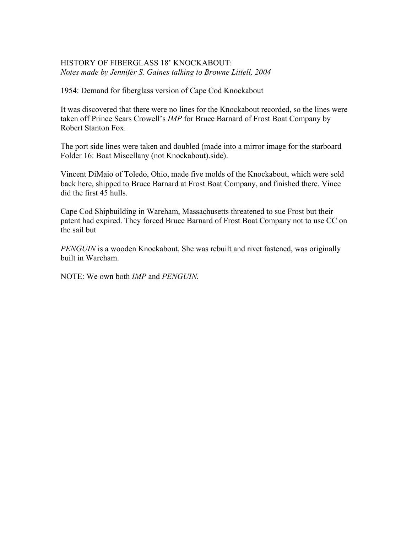#### HISTORY OF FIBERGLASS 18' KNOCKABOUT: *Notes made by Jennifer S. Gaines talking to Browne Littell, 2004*

1954: Demand for fiberglass version of Cape Cod Knockabout

It was discovered that there were no lines for the Knockabout recorded, so the lines were taken off Prince Sears Crowell's *IMP* for Bruce Barnard of Frost Boat Company by Robert Stanton Fox.

The port side lines were taken and doubled (made into a mirror image for the starboard Folder 16: Boat Miscellany (not Knockabout).side).

Vincent DiMaio of Toledo, Ohio, made five molds of the Knockabout, which were sold back here, shipped to Bruce Barnard at Frost Boat Company, and finished there. Vince did the first 45 hulls.

Cape Cod Shipbuilding in Wareham, Massachusetts threatened to sue Frost but their patent had expired. They forced Bruce Barnard of Frost Boat Company not to use CC on the sail but

*PENGUIN* is a wooden Knockabout. She was rebuilt and rivet fastened, was originally built in Wareham.

NOTE: We own both *IMP* and *PENGUIN.*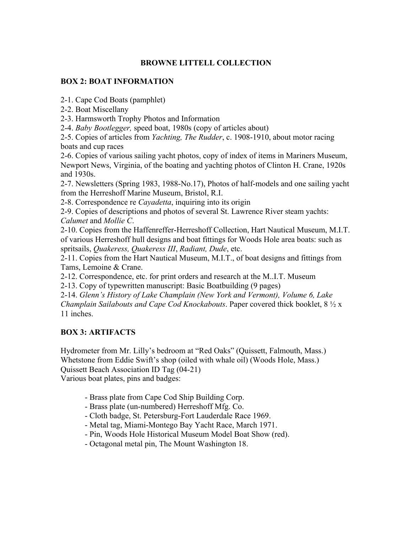# **BROWNE LITTELL COLLECTION**

#### **BOX 2: BOAT INFORMATION**

2-1. Cape Cod Boats (pamphlet)

2-2. Boat Miscellany

2-3. Harmsworth Trophy Photos and Information

2-4. *Baby Bootlegger,* speed boat, 1980s (copy of articles about)

2-5. Copies of articles from *Yachting, The Rudder*, c. 1908-1910, about motor racing boats and cup races

2-6. Copies of various sailing yacht photos, copy of index of items in Mariners Museum, Newport News, Virginia, of the boating and yachting photos of Clinton H. Crane, 1920s and 1930s.

2-7. Newsletters (Spring 1983, 1988-No.17), Photos of half-models and one sailing yacht from the Herreshoff Marine Museum, Bristol, R.I.

2-8. Correspondence re *Cayadetta*, inquiring into its origin

2-9. Copies of descriptions and photos of several St. Lawrence River steam yachts: *Calumet* and *Mollie C*.

2-10. Copies from the Haffenreffer-Herreshoff Collection, Hart Nautical Museum, M.I.T. of various Herreshoff hull designs and boat fittings for Woods Hole area boats: such as spritsails, *Quakeress, Quakeress III*, *Radiant, Dude*, etc.

2-11. Copies from the Hart Nautical Museum, M.I.T., of boat designs and fittings from Tams, Lemoine & Crane.

2-12. Correspondence, etc. for print orders and research at the M..I.T. Museum

2-13. Copy of typewritten manuscript: Basic Boatbuilding (9 pages)

2-14. *Glenn's History of Lake Champlain (New York and Vermont), Volume 6, Lake Champlain Sailabouts and Cape Cod Knockabouts*. Paper covered thick booklet, 8 ½ x 11 inches.

## **BOX 3: ARTIFACTS**

Hydrometer from Mr. Lilly's bedroom at "Red Oaks" (Quissett, Falmouth, Mass.) Whetstone from Eddie Swift's shop (oiled with whale oil) (Woods Hole, Mass.) Quissett Beach Association ID Tag (04-21) Various boat plates, pins and badges:

- Brass plate from Cape Cod Ship Building Corp.

- Brass plate (un-numbered) Herreshoff Mfg. Co.
- Cloth badge, St. Petersburg-Fort Lauderdale Race 1969.
- Metal tag, Miami-Montego Bay Yacht Race, March 1971.
- Pin, Woods Hole Historical Museum Model Boat Show (red).
- Octagonal metal pin, The Mount Washington 18.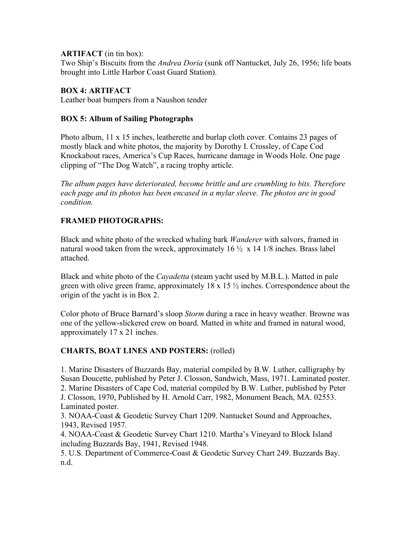### **ARTIFACT** (in tin box):

Two Ship's Biscuits from the *Andrea Doria* (sunk off Nantucket, July 26, 1956; life boats brought into Little Harbor Coast Guard Station).

## **BOX 4: ARTIFACT**

Leather boat bumpers from a Naushon tender

## **BOX 5: Album of Sailing Photographs**

Photo album, 11 x 15 inches, leatherette and burlap cloth cover. Contains 23 pages of mostly black and white photos, the majority by Dorothy I. Crossley, of Cape Cod Knockabout races, America's Cup Races, hurricane damage in Woods Hole. One page clipping of "The Dog Watch", a racing trophy article.

*The album pages have deteriorated, become brittle and are crumbling to bits. Therefore each page and its photos has been encased in a mylar sleeve. The photos are in good condition.*

## **FRAMED PHOTOGRAPHS:**

Black and white photo of the wrecked whaling bark *Wanderer* with salvors, framed in natural wood taken from the wreck, approximately  $16 \frac{1}{2} \times 14 \frac{1}{8}$  inches. Brass label attached.

Black and white photo of the *Cayadetta* (steam yacht used by M.B.L.). Matted in pale green with olive green frame, approximately 18 x 15 ½ inches. Correspondence about the origin of the yacht is in Box 2.

Color photo of Bruce Barnard's sloop *Storm* during a race in heavy weather. Browne was one of the yellow-slickered crew on board. Matted in white and framed in natural wood, approximately 17 x 21 inches.

## **CHARTS, BOAT LINES AND POSTERS:** (rolled)

1. Marine Disasters of Buzzards Bay, material compiled by B.W. Luther, calligraphy by Susan Doucette, published by Peter J. Closson, Sandwich, Mass, 1971. Laminated poster. 2. Marine Disasters of Cape Cod, material compiled by B.W. Luther, published by Peter J. Closson, 1970, Published by H. Arnold Carr, 1982, Monument Beach, MA. 02553. Laminated poster.

3. NOAA-Coast & Geodetic Survey Chart 1209. Nantucket Sound and Approaches, 1943, Revised 1957.

4. NOAA-Coast & Geodetic Survey Chart 1210. Martha's Vineyard to Block Island including Buzzards Bay, 1941, Revised 1948.

5. U.S. Department of Commerce-Coast & Geodetic Survey Chart 249. Buzzards Bay. n.d.